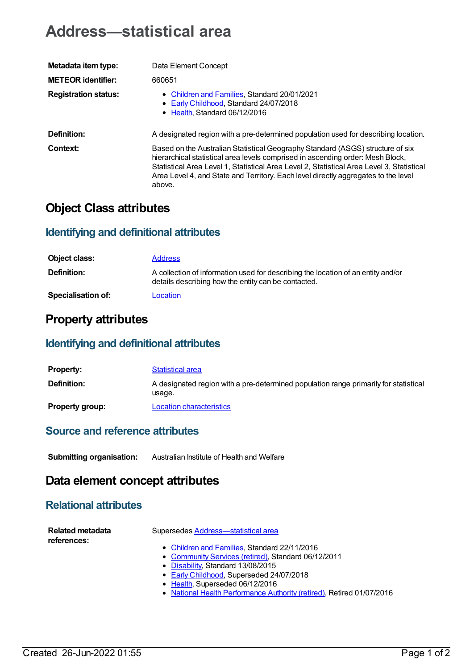# **Address—statistical area**

| Metadata item type:         | Data Element Concept                                                                                                                                                                                                                                                                                                                                          |
|-----------------------------|---------------------------------------------------------------------------------------------------------------------------------------------------------------------------------------------------------------------------------------------------------------------------------------------------------------------------------------------------------------|
| <b>METEOR identifier:</b>   | 660651                                                                                                                                                                                                                                                                                                                                                        |
| <b>Registration status:</b> | • Children and Families, Standard 20/01/2021<br>• Early Childhood, Standard 24/07/2018<br>• Health Standard 06/12/2016                                                                                                                                                                                                                                        |
| Definition:                 | A designated region with a pre-determined population used for describing location.                                                                                                                                                                                                                                                                            |
| Context:                    | Based on the Australian Statistical Geography Standard (ASGS) structure of six<br>hierarchical statistical area levels comprised in ascending order: Mesh Block,<br>Statistical Area Level 1, Statistical Area Level 2, Statistical Area Level 3, Statistical<br>Area Level 4, and State and Territory. Each level directly aggregates to the level<br>above. |

# **Object Class attributes**

### **Identifying and definitional attributes**

| Object class:             | <b>Address</b>                                                                                                                          |
|---------------------------|-----------------------------------------------------------------------------------------------------------------------------------------|
| <b>Definition:</b>        | A collection of information used for describing the location of an entity and/or<br>details describing how the entity can be contacted. |
| <b>Specialisation of:</b> | Location                                                                                                                                |

## **Property attributes**

#### **Identifying and definitional attributes**

| <b>Property:</b>       | <b>Statistical area</b>                                                                        |
|------------------------|------------------------------------------------------------------------------------------------|
| <b>Definition:</b>     | A designated region with a pre-determined population range primarily for statistical<br>usage. |
| <b>Property group:</b> | Location characteristics                                                                       |

#### **Source and reference attributes**

**Submitting organisation:** Australian Institute of Health and Welfare

### **Data element concept attributes**

### **Relational attributes**

| Related metadata<br>references: | Supersedes Address-statistical area                                   |
|---------------------------------|-----------------------------------------------------------------------|
|                                 | • Children and Families, Standard 22/11/2016                          |
|                                 | • Community Services (retired), Standard 06/12/2011                   |
|                                 | • Disability, Standard 13/08/2015                                     |
|                                 | • Early Childhood, Superseded 24/07/2018                              |
|                                 | • Health, Superseded 06/12/2016                                       |
|                                 | • National Health Performance Authority (retired), Retired 01/07/2016 |